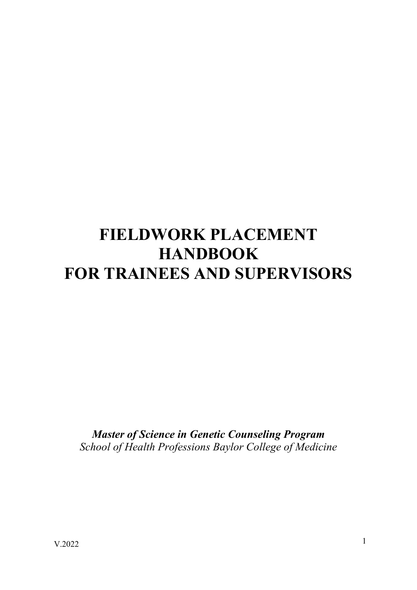# **FIELDWORK PLACEMENT HANDBOOK FOR TRAINEES AND SUPERVISORS**

*Master of Science in Genetic Counseling Program School of Health Professions Baylor College of Medicine*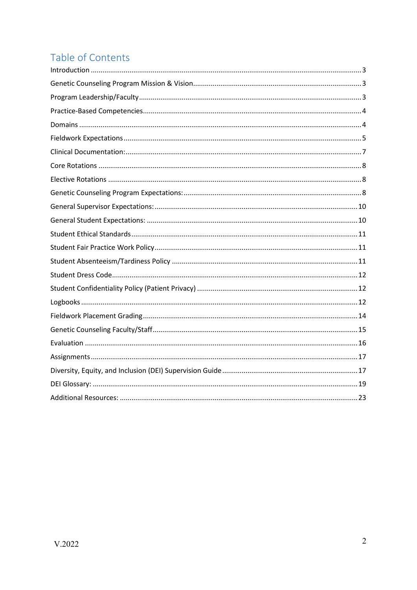# Table of Contents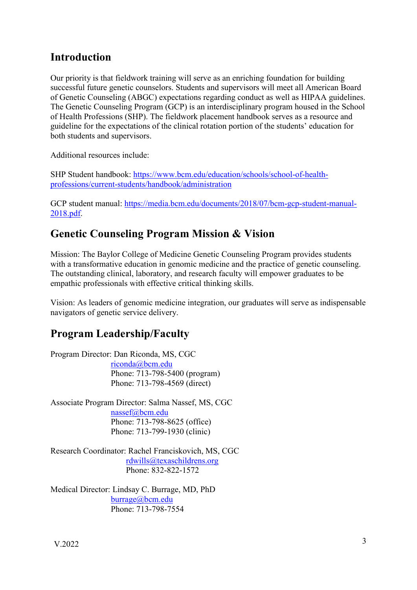### <span id="page-2-0"></span>**Introduction**

Our priority is that fieldwork training will serve as an enriching foundation for building successful future genetic counselors. Students and supervisors will meet all American Board of Genetic Counseling (ABGC) expectations regarding conduct as well as HIPAA guidelines. The Genetic Counseling Program (GCP) is an interdisciplinary program housed in the School of Health Professions (SHP). The fieldwork placement handbook serves as a resource and guideline for the expectations of the clinical rotation portion of the students' education for both students and supervisors.

Additional resources include:

SHP Student handbook: [https://www.bcm.edu/education/schools/school-of-health](https://www.bcm.edu/education/schools/school-of-health-professions/current-students/handbook/administration)[professions/current-students/handbook/administration](https://www.bcm.edu/education/schools/school-of-health-professions/current-students/handbook/administration)

GCP student manual: [https://media.bcm.edu/documents/2018/07/bcm-gcp-student-manual-](https://media.bcm.edu/documents/2018/07/bcm-gcp-student-manual-2018.pdf)[2018.pdf.](https://media.bcm.edu/documents/2018/07/bcm-gcp-student-manual-2018.pdf)

### <span id="page-2-1"></span>**Genetic Counseling Program Mission & Vision**

Mission: The Baylor College of Medicine Genetic Counseling Program provides students with a transformative education in genomic medicine and the practice of genetic counseling. The outstanding clinical, laboratory, and research faculty will empower graduates to be empathic professionals with effective critical thinking skills.

Vision: As leaders of genomic medicine integration, our graduates will serve as indispensable navigators of genetic service delivery.

### <span id="page-2-2"></span>**Program Leadership/Faculty**

Program Director: Dan Riconda, MS, CGC [riconda@bcm.edu](mailto:riconda@bcm.edu) Phone: 713-798-5400 (program) Phone: 713-798-4569 (direct)

Associate Program Director: Salma Nassef, MS, CGC [nassef@bcm.edu](mailto:nassef@bcm.edu) Phone: 713-798-8625 (office) Phone: 713-799-1930 (clinic)

Research Coordinator: Rachel Franciskovich, MS, CGC [rdwills@texaschildrens.org](mailto:rdwills@texaschildrens.org) Phone: 832-822-1572

Medical Director: Lindsay C. Burrage, MD, PhD [burrage@bcm.edu](mailto:burrage@bcm.edu) Phone: 713-798-7554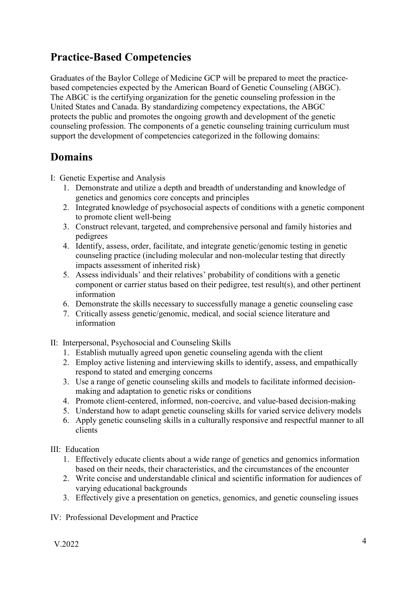### <span id="page-3-0"></span>**Practice-Based Competencies**

Graduates of the Baylor College of Medicine GCP will be prepared to meet the practicebased competencies expected by the American Board of Genetic Counseling (ABGC). The ABGC is the certifying organization for the genetic counseling profession in the United States and Canada. By standardizing competency expectations, the ABGC protects the public and promotes the ongoing growth and development of the genetic counseling profession. The components of a genetic counseling training curriculum must support the development of competencies categorized in the following domains:

### <span id="page-3-1"></span>**Domains**

I: Genetic Expertise and Analysis

- 1. Demonstrate and utilize a depth and breadth of understanding and knowledge of genetics and genomics core concepts and principles
- 2. Integrated knowledge of psychosocial aspects of conditions with a genetic component to promote client well-being
- 3. Construct relevant, targeted, and comprehensive personal and family histories and pedigrees
- 4. Identify, assess, order, facilitate, and integrate genetic/genomic testing in genetic counseling practice (including molecular and non-molecular testing that directly impacts assessment of inherited risk)
- 5. Assess individuals' and their relatives' probability of conditions with a genetic component or carrier status based on their pedigree, test result(s), and other pertinent information
- 6. Demonstrate the skills necessary to successfully manage a genetic counseling case
- 7. Critically assess genetic/genomic, medical, and social science literature and information
- II: Interpersonal, Psychosocial and Counseling Skills
	- 1. Establish mutually agreed upon genetic counseling agenda with the client
	- 2. Employ active listening and interviewing skills to identify, assess, and empathically respond to stated and emerging concerns
	- 3. Use a range of genetic counseling skills and models to facilitate informed decisionmaking and adaptation to genetic risks or conditions
	- 4. Promote client-centered, informed, non-coercive, and value-based decision-making
	- 5. Understand how to adapt genetic counseling skills for varied service delivery models
	- 6. Apply genetic counseling skills in a culturally responsive and respectful manner to all clients
- III: Education
	- 1. Effectively educate clients about a wide range of genetics and genomics information based on their needs, their characteristics, and the circumstances of the encounter
	- 2. Write concise and understandable clinical and scientific information for audiences of varying educational backgrounds
	- 3. Effectively give a presentation on genetics, genomics, and genetic counseling issues
- IV: Professional Development and Practice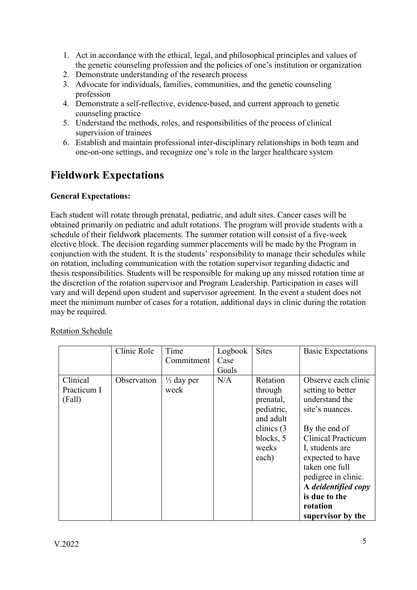- 1. Act in accordance with the ethical, legal, and philosophical principles and values of the genetic counseling profession and the policies of one's institution or organization
- 2. Demonstrate understanding of the research process
- 3. Advocate for individuals, families, communities, and the genetic counseling profession
- 4. Demonstrate a self-reflective, evidence-based, and current approach to genetic counseling practice
- 5. Understand the methods, roles, and responsibilities of the process of clinical supervision of trainees
- 6. Establish and maintain professional inter-disciplinary relationships in both team and one-on-one settings, and recognize one's role in the larger healthcare system

### <span id="page-4-0"></span>**Fieldwork Expectations**

#### **General Expectations:**

Each student will rotate through prenatal, pediatric, and adult sites. Cancer cases will be obtained primarily on pediatric and adult rotations. The program will provide students with a schedule of their fieldwork placements. The summer rotation will consist of a five-week elective block. The decision regarding summer placements will be made by the Program in conjunction with the student. It is the students' responsibility to manage their schedules while on rotation, including communication with the rotation supervisor regarding didactic and thesis responsibilities. Students will be responsible for making up any missed rotation time at the discretion of the rotation supervisor and Program Leadership. Participation in cases will vary and will depend upon student and supervisor agreement. In the event a student does not meet the minimum number of cases for a rotation, additional days in clinic during the rotation may be required.

|                                   | Clinic Role | Time                          | Logbook | <b>Sites</b>                                                                                                | <b>Basic Expectations</b>                                                                                                                                                                                                                           |
|-----------------------------------|-------------|-------------------------------|---------|-------------------------------------------------------------------------------------------------------------|-----------------------------------------------------------------------------------------------------------------------------------------------------------------------------------------------------------------------------------------------------|
|                                   |             | Commitment                    | Case    |                                                                                                             |                                                                                                                                                                                                                                                     |
|                                   |             |                               | Goals   |                                                                                                             |                                                                                                                                                                                                                                                     |
| Clinical<br>Practicum I<br>(Fall) | Observation | $\frac{1}{2}$ day per<br>week | N/A     | Rotation<br>through<br>prenatal,<br>pediatric,<br>and adult<br>clinics $(3)$<br>blocks, 5<br>weeks<br>each) | Observe each clinic<br>setting to better<br>understand the<br>site's nuances.<br>By the end of<br><b>Clinical Practicum</b><br>I, students are<br>expected to have<br>taken one full<br>pedigree in clinic.<br>A deidentified copy<br>is due to the |
|                                   |             |                               |         |                                                                                                             | rotation                                                                                                                                                                                                                                            |
|                                   |             |                               |         |                                                                                                             | supervisor by the                                                                                                                                                                                                                                   |

Rotation Schedule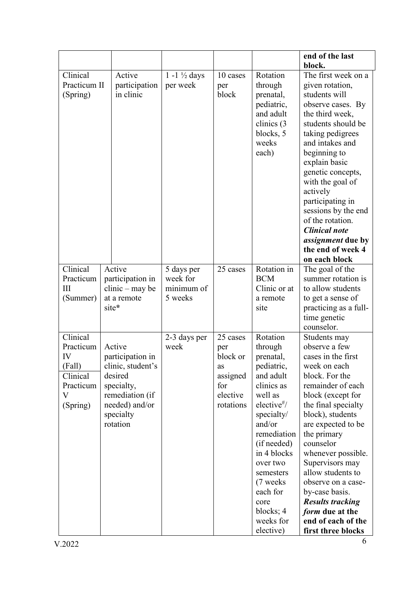|                                                                                 |                                                                                                                                        |                                                 |                                                                               |                                                                                                                                                                                                                                                                                       | end of the last                                                                                                                                                                                                                                                                                                                                                                                                                     |
|---------------------------------------------------------------------------------|----------------------------------------------------------------------------------------------------------------------------------------|-------------------------------------------------|-------------------------------------------------------------------------------|---------------------------------------------------------------------------------------------------------------------------------------------------------------------------------------------------------------------------------------------------------------------------------------|-------------------------------------------------------------------------------------------------------------------------------------------------------------------------------------------------------------------------------------------------------------------------------------------------------------------------------------------------------------------------------------------------------------------------------------|
|                                                                                 |                                                                                                                                        |                                                 |                                                                               |                                                                                                                                                                                                                                                                                       | block.                                                                                                                                                                                                                                                                                                                                                                                                                              |
| Clinical<br>Practicum II<br>(Spring)                                            | Active<br>participation<br>in clinic                                                                                                   | $1 - 1 \frac{1}{2}$ days<br>per week            | 10 cases<br>per<br>block                                                      | Rotation<br>through<br>prenatal,<br>pediatric,<br>and adult<br>clinics (3<br>blocks, 5<br>weeks<br>each)                                                                                                                                                                              | The first week on a<br>given rotation,<br>students will<br>observe cases. By<br>the third week,<br>students should be<br>taking pedigrees<br>and intakes and<br>beginning to<br>explain basic<br>genetic concepts,<br>with the goal of<br>actively<br>participating in<br>sessions by the end<br>of the rotation.<br><b>Clinical note</b><br>assignment due by<br>the end of week 4                                                 |
|                                                                                 |                                                                                                                                        |                                                 |                                                                               |                                                                                                                                                                                                                                                                                       | on each block                                                                                                                                                                                                                                                                                                                                                                                                                       |
| Clinical<br>Practicum<br>III<br>(Summer)                                        | Active<br>participation in<br>$clinic - may be$<br>at a remote<br>site*                                                                | 5 days per<br>week for<br>minimum of<br>5 weeks | 25 cases                                                                      | Rotation in<br><b>BCM</b><br>Clinic or at<br>a remote<br>site                                                                                                                                                                                                                         | The goal of the<br>summer rotation is<br>to allow students<br>to get a sense of<br>practicing as a full-<br>time genetic<br>counselor.                                                                                                                                                                                                                                                                                              |
| Clinical<br>Practicum<br>IV<br>(Fall)<br>Clinical<br>Practicum<br>V<br>(Spring) | Active<br>participation in<br>clinic, student's<br>desired<br>specialty,<br>remediation (if<br>needed) and/or<br>specialty<br>rotation | 2-3 days per<br>week                            | 25 cases<br>per<br>block or<br>as<br>assigned<br>for<br>elective<br>rotations | Rotation<br>through<br>prenatal,<br>pediatric,<br>and adult<br>clinics as<br>well as<br>elective <sup>#</sup> /<br>specialty/<br>and/or<br>remediation<br>(if needed)<br>in 4 blocks<br>over two<br>semesters<br>(7 weeks)<br>each for<br>core<br>blocks; 4<br>weeks for<br>elective) | Students may<br>observe a few<br>cases in the first<br>week on each<br>block. For the<br>remainder of each<br>block (except for<br>the final specialty<br>block), students<br>are expected to be<br>the primary<br>counselor<br>whenever possible.<br>Supervisors may<br>allow students to<br>observe on a case-<br>by-case basis.<br><b>Results tracking</b><br><i>form</i> due at the<br>end of each of the<br>first three blocks |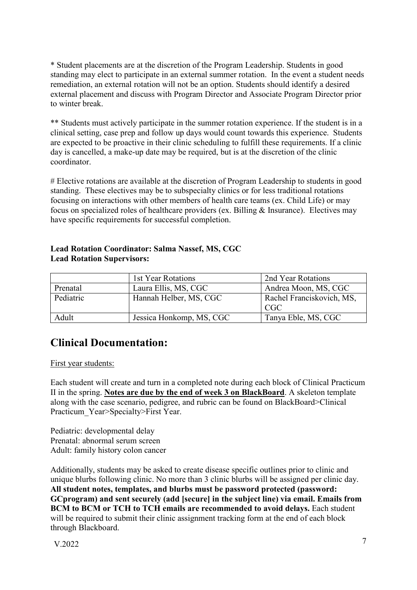\* Student placements are at the discretion of the Program Leadership. Students in good standing may elect to participate in an external summer rotation. In the event a student needs remediation, an external rotation will not be an option. Students should identify a desired external placement and discuss with Program Director and Associate Program Director prior to winter break.

\*\* Students must actively participate in the summer rotation experience. If the student is in a clinical setting, case prep and follow up days would count towards this experience. Students are expected to be proactive in their clinic scheduling to fulfill these requirements. If a clinic day is cancelled, a make-up date may be required, but is at the discretion of the clinic coordinator.

# Elective rotations are available at the discretion of Program Leadership to students in good standing. These electives may be to subspecialty clinics or for less traditional rotations focusing on interactions with other members of health care teams (ex. Child Life) or may focus on specialized roles of healthcare providers (ex. Billing & Insurance). Electives may have specific requirements for successful completion.

| <b>Lead Rotation Supervisors:</b> |                        |                           |  |  |
|-----------------------------------|------------------------|---------------------------|--|--|
|                                   | 1st Year Rotations     | 2nd Year Rotations        |  |  |
| Prenatal                          | Laura Ellis, MS, CGC   | Andrea Moon, MS, CGC      |  |  |
| Pediatric                         | Hannah Helber, MS, CGC | Rachel Franciskovich, MS, |  |  |

Adult Jessica Honkomp, MS, CGC Tanya Eble, MS, CGC

#### **Lead Rotation Coordinator: Salma Nassef, MS, CGC Lead Rotation Supervisors:**

<span id="page-6-0"></span>

| <b>Clinical Documentation:</b> |  |
|--------------------------------|--|

#### First year students:

Each student will create and turn in a completed note during each block of Clinical Practicum II in the spring. **Notes are due by the end of week 3 on BlackBoard**. A skeleton template along with the case scenario, pedigree, and rubric can be found on BlackBoard>Clinical Practicum Year>Specialty>First Year.

CGC

Pediatric: developmental delay Prenatal: abnormal serum screen Adult: family history colon cancer

Additionally, students may be asked to create disease specific outlines prior to clinic and unique blurbs following clinic. No more than 3 clinic blurbs will be assigned per clinic day. **All student notes, templates, and blurbs must be password protected (password: GCprogram) and sent securely (add [secure] in the subject line) via email. Emails from BCM to BCM or TCH to TCH emails are recommended to avoid delays.** Each student will be required to submit their clinic assignment tracking form at the end of each block through Blackboard.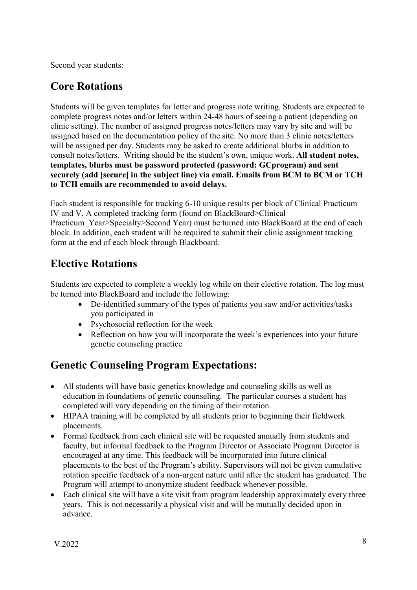Second year students:

### <span id="page-7-0"></span>**Core Rotations**

Students will be given templates for letter and progress note writing. Students are expected to complete progress notes and/or letters within 24-48 hours of seeing a patient (depending on clinic setting). The number of assigned progress notes/letters may vary by site and will be assigned based on the documentation policy of the site. No more than 3 clinic notes/letters will be assigned per day. Students may be asked to create additional blurbs in addition to consult notes/letters. Writing should be the student's own, unique work. **All student notes, templates, blurbs must be password protected (password: GCprogram) and sent securely (add [secure] in the subject line) via email. Emails from BCM to BCM or TCH to TCH emails are recommended to avoid delays.** 

Each student is responsible for tracking 6-10 unique results per block of Clinical Practicum IV and V. A completed tracking form (found on BlackBoard>Clinical Practicum Year>Specialty>Second Year) must be turned into BlackBoard at the end of each block. In addition, each student will be required to submit their clinic assignment tracking form at the end of each block through Blackboard.

### <span id="page-7-1"></span>**Elective Rotations**

Students are expected to complete a weekly log while on their elective rotation. The log must be turned into BlackBoard and include the following:

- De-identified summary of the types of patients you saw and/or activities/tasks you participated in
- Psychosocial reflection for the week
- Reflection on how you will incorporate the week's experiences into your future genetic counseling practice

# <span id="page-7-2"></span>**Genetic Counseling Program Expectations:**

- All students will have basic genetics knowledge and counseling skills as well as education in foundations of genetic counseling. The particular courses a student has completed will vary depending on the timing of their rotation.
- HIPAA training will be completed by all students prior to beginning their fieldwork placements.
- Formal feedback from each clinical site will be requested annually from students and faculty, but informal feedback to the Program Director or Associate Program Director is encouraged at any time. This feedback will be incorporated into future clinical placements to the best of the Program's ability. Supervisors will not be given cumulative rotation specific feedback of a non-urgent nature until after the student has graduated. The Program will attempt to anonymize student feedback whenever possible.
- Each clinical site will have a site visit from program leadership approximately every three years. This is not necessarily a physical visit and will be mutually decided upon in advance.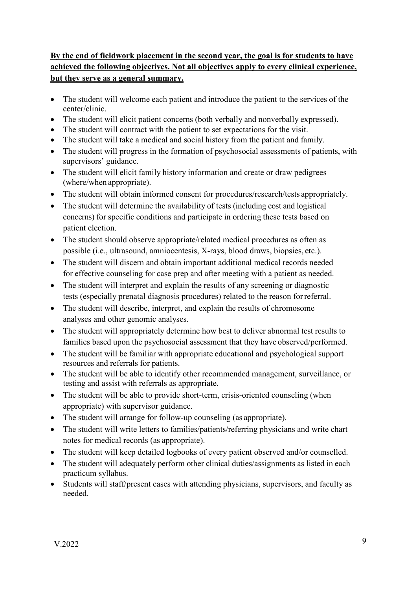### **By the end of fieldwork placement in the second year, the goal is for students to have achieved the following objectives. Not all objectives apply to every clinical experience, but they serve as a general summary.**

- The student will welcome each patient and introduce the patient to the services of the center/clinic.
- The student will elicit patient concerns (both verbally and nonverbally expressed).
- The student will contract with the patient to set expectations for the visit.
- The student will take a medical and social history from the patient and family.
- The student will progress in the formation of psychosocial assessments of patients, with supervisors' guidance.
- The student will elicit family history information and create or draw pedigrees (where/when appropriate).
- The student will obtain informed consent for procedures/research/tests appropriately.
- The student will determine the availability of tests (including cost and logistical concerns) for specific conditions and participate in ordering these tests based on patient election.
- The student should observe appropriate/related medical procedures as often as possible (i.e., ultrasound, amniocentesis, X-rays, blood draws, biopsies, etc.).
- The student will discern and obtain important additional medical records needed for effective counseling for case prep and after meeting with a patient as needed.
- The student will interpret and explain the results of any screening or diagnostic tests (especially prenatal diagnosis procedures) related to the reason forreferral.
- The student will describe, interpret, and explain the results of chromosome analyses and other genomic analyses.
- The student will appropriately determine how best to deliver abnormal test results to families based upon the psychosocial assessment that they have observed/performed.
- The student will be familiar with appropriate educational and psychological support resources and referrals for patients.
- The student will be able to identify other recommended management, surveillance, or testing and assist with referrals as appropriate.
- The student will be able to provide short-term, crisis-oriented counseling (when appropriate) with supervisor guidance.
- The student will arrange for follow-up counseling (as appropriate).
- The student will write letters to families/patients/referring physicians and write chart notes for medical records (as appropriate).
- The student will keep detailed logbooks of every patient observed and/or counselled.
- The student will adequately perform other clinical duties/assignments as listed in each practicum syllabus.
- Students will staff/present cases with attending physicians, supervisors, and faculty as needed.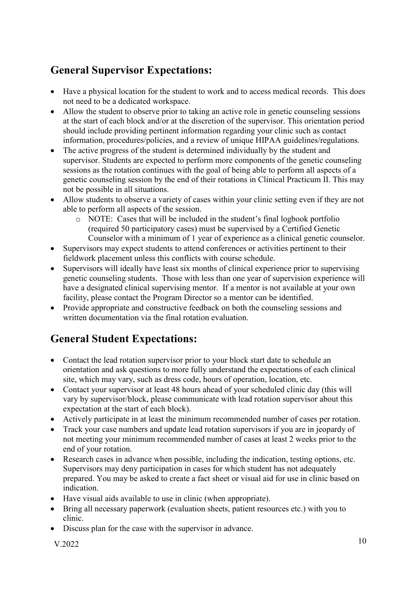# <span id="page-9-0"></span>**General Supervisor Expectations:**

- Have a physical location for the student to work and to access medical records. This does not need to be a dedicated workspace.
- Allow the student to observe prior to taking an active role in genetic counseling sessions at the start of each block and/or at the discretion of the supervisor. This orientation period should include providing pertinent information regarding your clinic such as contact information, procedures/policies, and a review of unique HIPAA guidelines/regulations.
- The active progress of the student is determined individually by the student and supervisor. Students are expected to perform more components of the genetic counseling sessions as the rotation continues with the goal of being able to perform all aspects of a genetic counseling session by the end of their rotations in Clinical Practicum II. This may not be possible in all situations.
- Allow students to observe a variety of cases within your clinic setting even if they are not able to perform all aspects of the session.
	- o NOTE: Cases that will be included in the student's final logbook portfolio (required 50 participatory cases) must be supervised by a Certified Genetic Counselor with a minimum of 1 year of experience as a clinical genetic counselor.
- Supervisors may expect students to attend conferences or activities pertinent to their fieldwork placement unless this conflicts with course schedule.
- Supervisors will ideally have least six months of clinical experience prior to supervising genetic counseling students. Those with less than one year of supervision experience will have a designated clinical supervising mentor. If a mentor is not available at your own facility, please contact the Program Director so a mentor can be identified.
- Provide appropriate and constructive feedback on both the counseling sessions and written documentation via the final rotation evaluation.

# <span id="page-9-1"></span>**General Student Expectations:**

- Contact the lead rotation supervisor prior to your block start date to schedule an orientation and ask questions to more fully understand the expectations of each clinical site, which may vary, such as dress code, hours of operation, location, etc.
- Contact your supervisor at least 48 hours ahead of your scheduled clinic day (this will vary by supervisor/block, please communicate with lead rotation supervisor about this expectation at the start of each block).
- Actively participate in at least the minimum recommended number of cases per rotation.
- Track your case numbers and update lead rotation supervisors if you are in jeopardy of not meeting your minimum recommended number of cases at least 2 weeks prior to the end of your rotation.
- Research cases in advance when possible, including the indication, testing options, etc. Supervisors may deny participation in cases for which student has not adequately prepared. You may be asked to create a fact sheet or visual aid for use in clinic based on indication.
- Have visual aids available to use in clinic (when appropriate).
- Bring all necessary paperwork (evaluation sheets, patient resources etc.) with you to clinic.
- Discuss plan for the case with the supervisor in advance.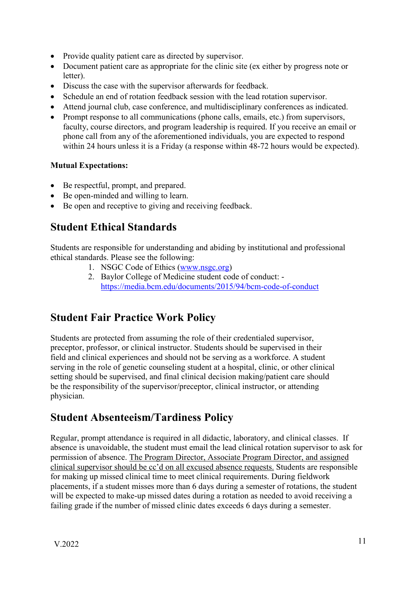- Provide quality patient care as directed by supervisor.
- Document patient care as appropriate for the clinic site (ex either by progress note or letter).
- Discuss the case with the supervisor afterwards for feedback.
- Schedule an end of rotation feedback session with the lead rotation supervisor.
- Attend journal club, case conference, and multidisciplinary conferences as indicated.
- Prompt response to all communications (phone calls, emails, etc.) from supervisors, faculty, course directors, and program leadership is required. If you receive an email or phone call from any of the aforementioned individuals, you are expected to respond within 24 hours unless it is a Friday (a response within 48-72 hours would be expected).

#### **Mutual Expectations:**

- Be respectful, prompt, and prepared.
- Be open-minded and willing to learn.
- Be open and receptive to giving and receiving feedback.

### <span id="page-10-0"></span>**Student Ethical Standards**

Students are responsible for understanding and abiding by institutional and professional ethical standards. Please see the following:

- 1. NSGC Code of Ethics [\(www.nsgc.org\)](file://storage/../mtucker25/Dropbox/ISU%20Genetic%20Counseling%20Program/www.nsgc.org)
- 2. Baylor College of Medicine student code of conduct: [https://media.bcm.edu/documents/2015/94/bcm-code-of-conduct](https://media.bcm.edu/documents/2015/94/bcm-code-of-conduct-final-june-2015.pdf)

# <span id="page-10-1"></span>**Student Fair Practice Work Policy**

Students are protected from assuming the role of their credentialed supervisor, preceptor, professor, or clinical instructor. Students should be supervised in their field and clinical experiences and should not be serving as a workforce. A student serving in the role of genetic counseling student at a hospital, clinic, or other clinical setting should be supervised, and final clinical decision making/patient care should be the responsibility of the supervisor/preceptor, clinical instructor, or attending physician.

### <span id="page-10-2"></span>**Student Absenteeism/Tardiness Policy**

Regular, prompt attendance is required in all didactic, laboratory, and clinical classes. If absence is unavoidable, the student must email the lead clinical rotation supervisor to ask for permission of absence. The Program Director, Associate Program Director, and assigned clinical supervisor should be cc'd on all excused absence requests. Students are responsible for making up missed clinical time to meet clinical requirements. During fieldwork placements, if a student misses more than 6 days during a semester of rotations, the student will be expected to make-up missed dates during a rotation as needed to avoid receiving a failing grade if the number of missed clinic dates exceeds 6 days during a semester.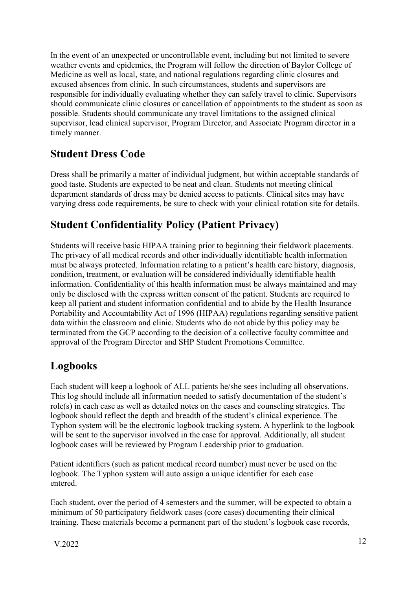In the event of an unexpected or uncontrollable event, including but not limited to severe weather events and epidemics, the Program will follow the direction of Baylor College of Medicine as well as local, state, and national regulations regarding clinic closures and excused absences from clinic. In such circumstances, students and supervisors are responsible for individually evaluating whether they can safely travel to clinic. Supervisors should communicate clinic closures or cancellation of appointments to the student as soon as possible. Students should communicate any travel limitations to the assigned clinical supervisor, lead clinical supervisor, Program Director, and Associate Program director in a timely manner.

# <span id="page-11-0"></span>**Student Dress Code**

Dress shall be primarily a matter of individual judgment, but within acceptable standards of good taste. Students are expected to be neat and clean. Students not meeting clinical department standards of dress may be denied access to patients. Clinical sites may have varying dress code requirements, be sure to check with your clinical rotation site for details.

# <span id="page-11-1"></span>**Student Confidentiality Policy (Patient Privacy)**

Students will receive basic HIPAA training prior to beginning their fieldwork placements. The privacy of all medical records and other individually identifiable health information must be always protected. Information relating to a patient's health care history, diagnosis, condition, treatment, or evaluation will be considered individually identifiable health information. Confidentiality of this health information must be always maintained and may only be disclosed with the express written consent of the patient. Students are required to keep all patient and student information confidential and to abide by the Health Insurance Portability and Accountability Act of 1996 (HIPAA) regulations regarding sensitive patient data within the classroom and clinic. Students who do not abide by this policy may be terminated from the GCP according to the decision of a collective faculty committee and approval of the Program Director and SHP Student Promotions Committee.

# <span id="page-11-2"></span>**Logbooks**

Each student will keep a logbook of ALL patients he/she sees including all observations. This log should include all information needed to satisfy documentation of the student's role(s) in each case as well as detailed notes on the cases and counseling strategies. The logbook should reflect the depth and breadth of the student's clinical experience. The Typhon system will be the electronic logbook tracking system. A hyperlink to the logbook will be sent to the supervisor involved in the case for approval. Additionally, all student logbook cases will be reviewed by Program Leadership prior to graduation.

Patient identifiers (such as patient medical record number) must never be used on the logbook. The Typhon system will auto assign a unique identifier for each case entered.

Each student, over the period of 4 semesters and the summer, will be expected to obtain a minimum of 50 participatory fieldwork cases (core cases) documenting their clinical training. These materials become a permanent part of the student's logbook case records,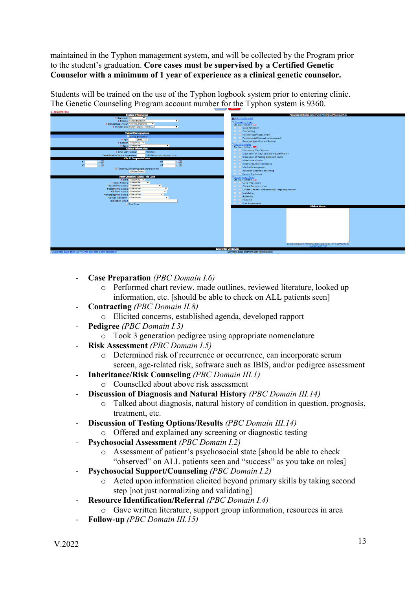maintained in the Typhon management system, and will be collected by the Program prior to the student's graduation. **Core cases must be supervised by a Certified Genetic Counselor with a minimum of 1 year of experience as a clinical genetic counselor.**

Students will be trained on the use of the Typhon logbook system prior to entering clinic. The Genetic Counseling Program account number for the Typhon system is 9360.



- **Case Preparation** *(PBC Domain I.6)*
	- o Performed chart review, made outlines, reviewed literature, looked up information, etc. [should be able to check on ALL patients seen]
- **Contracting** *(PBC Domain II.8)*
	- o Elicited concerns, established agenda, developed rapport
- **Pedigree** *(PBC Domain I.3)*
	- o Took 3 generation pedigree using appropriate nomenclature
- **Risk Assessment** *(PBC Domain I.5)*
	- o Determined risk of recurrence or occurrence, can incorporate serum screen, age-related risk, software such as IBIS, and/or pedigree assessment
- **Inheritance/Risk Counseling** *(PBC Domain III.1)*
	- o Counselled about above risk assessment
- **Discussion of Diagnosis and Natural History** *(PBC Domain III.14)*
	- o Talked about diagnosis, natural history of condition in question, prognosis, treatment, etc.
- **Discussion of Testing Options/Results** *(PBC Domain III.14)*
	- o Offered and explained any screening or diagnostic testing
- **Psychosocial Assessment** *(PBC Domain I.2)*
	- o Assessment of patient's psychosocial state [should be able to check "observed" on ALL patients seen and "success" as you take on roles]
- **Psychosocial Support/Counseling** *(PBC Domain I.2)*
	- o Acted upon information elicited beyond primary skills by taking second step [not just normalizing and validating]
- **Resource Identification/Referral** *(PBC Domain I.4)*
	- o Gave written literature, support group information, resources in area
- **Follow-up** *(PBC Domain III.15)*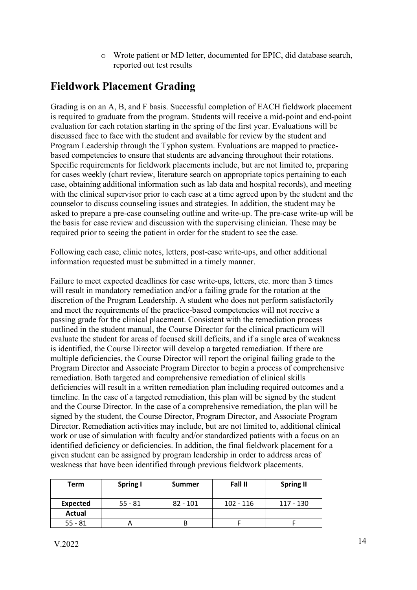o Wrote patient or MD letter, documented for EPIC, did database search, reported out test results

### <span id="page-13-0"></span>**Fieldwork Placement Grading**

Grading is on an A, B, and F basis. Successful completion of EACH fieldwork placement is required to graduate from the program. Students will receive a mid-point and end-point evaluation for each rotation starting in the spring of the first year. Evaluations will be discussed face to face with the student and available for review by the student and Program Leadership through the Typhon system. Evaluations are mapped to practicebased competencies to ensure that students are advancing throughout their rotations. Specific requirements for fieldwork placements include, but are not limited to, preparing for cases weekly (chart review, literature search on appropriate topics pertaining to each case, obtaining additional information such as lab data and hospital records), and meeting with the clinical supervisor prior to each case at a time agreed upon by the student and the counselor to discuss counseling issues and strategies. In addition, the student may be asked to prepare a pre-case counseling outline and write-up. The pre-case write-up will be the basis for case review and discussion with the supervising clinician. These may be required prior to seeing the patient in order for the student to see the case.

Following each case, clinic notes, letters, post-case write-ups, and other additional information requested must be submitted in a timely manner.

Failure to meet expected deadlines for case write-ups, letters, etc. more than 3 times will result in mandatory remediation and/or a failing grade for the rotation at the discretion of the Program Leadership. A student who does not perform satisfactorily and meet the requirements of the practice-based competencies will not receive a passing grade for the clinical placement. Consistent with the remediation process outlined in the student manual, the Course Director for the clinical practicum will evaluate the student for areas of focused skill deficits, and if a single area of weakness is identified, the Course Director will develop a targeted remediation. If there are multiple deficiencies, the Course Director will report the original failing grade to the Program Director and Associate Program Director to begin a process of comprehensive remediation. Both targeted and comprehensive remediation of clinical skills deficiencies will result in a written remediation plan including required outcomes and a timeline. In the case of a targeted remediation, this plan will be signed by the student and the Course Director. In the case of a comprehensive remediation, the plan will be signed by the student, the Course Director, Program Director, and Associate Program Director. Remediation activities may include, but are not limited to, additional clinical work or use of simulation with faculty and/or standardized patients with a focus on an identified deficiency or deficiencies. In addition, the final fieldwork placement for a given student can be assigned by program leadership in order to address areas of weakness that have been identified through previous fieldwork placements.

| Term            | <b>Spring I</b> | <b>Summer</b> | Fall II     | <b>Spring II</b> |
|-----------------|-----------------|---------------|-------------|------------------|
|                 |                 |               |             |                  |
| <b>Expected</b> | $55 - 81$       | $82 - 101$    | $102 - 116$ | 117 - 130        |
| Actual          |                 |               |             |                  |
| $55 - 81$       |                 |               |             |                  |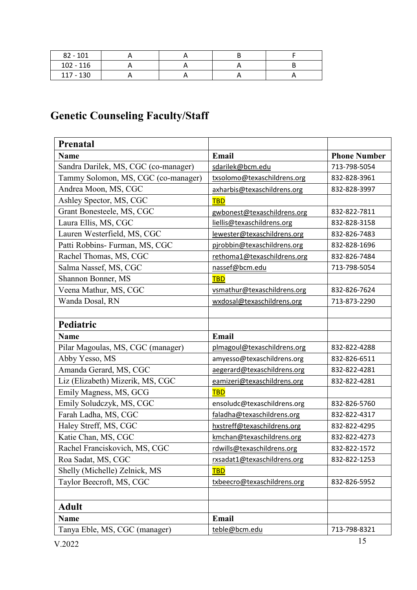| $82 - 101$  |  |  |
|-------------|--|--|
| $102 - 116$ |  |  |
| $117 - 130$ |  |  |

# <span id="page-14-0"></span>**Genetic Counseling Faculty/Staff**

| Prenatal                             |                             |                     |
|--------------------------------------|-----------------------------|---------------------|
| <b>Name</b>                          | Email                       | <b>Phone Number</b> |
| Sandra Darilek, MS, CGC (co-manager) | sdarilek@bcm.edu            | 713-798-5054        |
| Tammy Solomon, MS, CGC (co-manager)  | txsolomo@texaschildrens.org | 832-828-3961        |
| Andrea Moon, MS, CGC                 | axharbis@texaschildrens.org | 832-828-3997        |
| Ashley Spector, MS, CGC              | <b>TBD</b>                  |                     |
| Grant Bonesteele, MS, CGC            | gwbonest@texaschildrens.org | 832-822-7811        |
| Laura Ellis, MS, CGC                 | liellis@texaschildrens.org  | 832-828-3158        |
| Lauren Westerfield, MS, CGC          | lewester@texaschildrens.org | 832-826-7483        |
| Patti Robbins- Furman, MS, CGC       | pjrobbin@texaschildrens.org | 832-828-1696        |
| Rachel Thomas, MS, CGC               | rethoma1@texaschildrens.org | 832-826-7484        |
| Salma Nassef, MS, CGC                | nassef@bcm.edu              | 713-798-5054        |
| Shannon Bonner, MS                   | <b>TBD</b>                  |                     |
| Veena Mathur, MS, CGC                | vsmathur@texaschildrens.org | 832-826-7624        |
| Wanda Dosal, RN                      | wxdosal@texaschildrens.org  | 713-873-2290        |
|                                      |                             |                     |
| Pediatric                            |                             |                     |
| <b>Name</b>                          | Email                       |                     |
| Pilar Magoulas, MS, CGC (manager)    | plmagoul@texaschildrens.org | 832-822-4288        |
| Abby Yesso, MS                       | amyesso@texaschildrens.org  | 832-826-6511        |
| Amanda Gerard, MS, CGC               | aegerard@texaschildrens.org | 832-822-4281        |
| Liz (Elizabeth) Mizerik, MS, CGC     | eamizeri@texaschildrens.org | 832-822-4281        |
| Emily Magness, MS, GCG               | <b>TBD</b>                  |                     |
| Emily Soludczyk, MS, CGC             | ensoludc@texaschildrens.org | 832-826-5760        |
| Farah Ladha, MS, CGC                 | faladha@texaschildrens.org  | 832-822-4317        |
| Haley Streff, MS, CGC                | hxstreff@texaschildrens.org | 832-822-4295        |
| Katie Chan, MS, CGC                  | kmchan@texaschildrens.org   | 832-822-4273        |
| Rachel Franciskovich, MS, CGC        | rdwills@texaschildrens.org  | 832-822-1572        |
| Roa Sadat, MS, CGC                   | rxsadat1@texaschildrens.org | 832-822-1253        |
| Shelly (Michelle) Zelnick, MS        | <b>TBD</b>                  |                     |
| Taylor Beecroft, MS, CGC             | txbeecro@texaschildrens.org | 832-826-5952        |
|                                      |                             |                     |
| <b>Adult</b>                         |                             |                     |
| <b>Name</b>                          | Email                       |                     |
| Tanya Eble, MS, CGC (manager)        | teble@bcm.edu               | 713-798-8321        |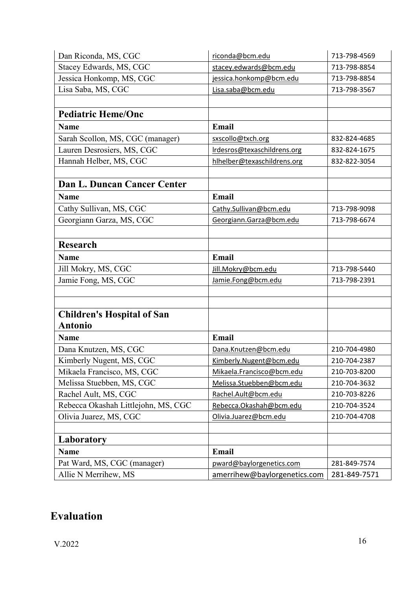| Dan Riconda, MS, CGC                | riconda@bcm.edu              | 713-798-4569 |
|-------------------------------------|------------------------------|--------------|
| Stacey Edwards, MS, CGC             | stacey.edwards@bcm.edu       | 713-798-8854 |
| Jessica Honkomp, MS, CGC            | jessica.honkomp@bcm.edu      | 713-798-8854 |
| Lisa Saba, MS, CGC                  | Lisa.saba@bcm.edu            | 713-798-3567 |
|                                     |                              |              |
| <b>Pediatric Heme/Onc</b>           |                              |              |
| <b>Name</b>                         | Email                        |              |
| Sarah Scollon, MS, CGC (manager)    | sxscollo@txch.org            | 832-824-4685 |
| Lauren Desrosiers, MS, CGC          | Irdesros@texaschildrens.org  | 832-824-1675 |
| Hannah Helber, MS, CGC              | hlhelber@texaschildrens.org  | 832-822-3054 |
|                                     |                              |              |
| Dan L. Duncan Cancer Center         |                              |              |
| <b>Name</b>                         | Email                        |              |
| Cathy Sullivan, MS, CGC             | Cathy.Sullivan@bcm.edu       | 713-798-9098 |
| Georgiann Garza, MS, CGC            | Georgiann.Garza@bcm.edu      | 713-798-6674 |
|                                     |                              |              |
| <b>Research</b>                     |                              |              |
| <b>Name</b>                         | Email                        |              |
| Jill Mokry, MS, CGC                 | Jill.Mokry@bcm.edu           | 713-798-5440 |
| Jamie Fong, MS, CGC                 | Jamie.Fong@bcm.edu           | 713-798-2391 |
|                                     |                              |              |
|                                     |                              |              |
| <b>Children's Hospital of San</b>   |                              |              |
| <b>Antonio</b>                      |                              |              |
| <b>Name</b>                         | Email                        |              |
| Dana Knutzen, MS, CGC               | Dana.Knutzen@bcm.edu         | 210-704-4980 |
| Kimberly Nugent, MS, CGC            | Kimberly.Nugent@bcm.edu      | 210-704-2387 |
| Mikaela Francisco, MS, CGC          | Mikaela.Francisco@bcm.edu    | 210-703-8200 |
| Melissa Stuebben, MS, CGC           | Melissa.Stuebben@bcm.edu     | 210-704-3632 |
| Rachel Ault, MS, CGC                | Rachel.Ault@bcm.edu          | 210-703-8226 |
| Rebecca Okashah Littlejohn, MS, CGC | Rebecca.Okashah@bcm.edu      | 210-704-3524 |
| Olivia Juarez, MS, CGC              | Olivia.Juarez@bcm.edu        | 210-704-4708 |
|                                     |                              |              |
| Laboratory                          |                              |              |
| <b>Name</b>                         | Email                        |              |
| Pat Ward, MS, CGC (manager)         | pward@baylorgenetics.com     | 281-849-7574 |
| Allie N Merrihew, MS                | amerrihew@baylorgenetics.com | 281-849-7571 |

# <span id="page-15-0"></span>**Evaluation**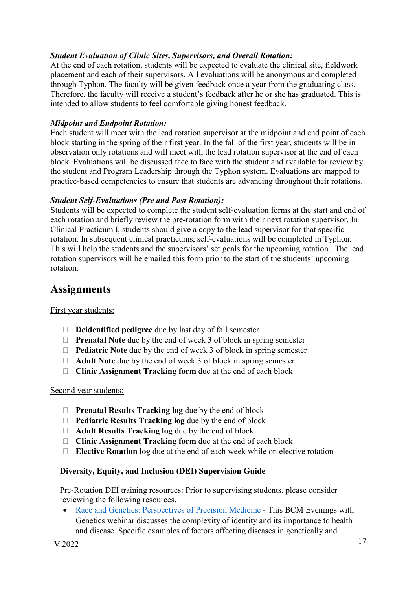#### *Student Evaluation of Clinic Sites, Supervisors, and Overall Rotation:*

At the end of each rotation, students will be expected to evaluate the clinical site, fieldwork placement and each of their supervisors. All evaluations will be anonymous and completed through Typhon. The faculty will be given feedback once a year from the graduating class. Therefore, the faculty will receive a student's feedback after he or she has graduated. This is intended to allow students to feel comfortable giving honest feedback.

#### *Midpoint and Endpoint Rotation:*

Each student will meet with the lead rotation supervisor at the midpoint and end point of each block starting in the spring of their first year. In the fall of the first year, students will be in observation only rotations and will meet with the lead rotation supervisor at the end of each block. Evaluations will be discussed face to face with the student and available for review by the student and Program Leadership through the Typhon system. Evaluations are mapped to practice-based competencies to ensure that students are advancing throughout their rotations.

#### *Student Self-Evaluations (Pre and Post Rotation):*

Students will be expected to complete the student self-evaluation forms at the start and end of each rotation and briefly review the pre-rotation form with their next rotation supervisor. In Clinical Practicum I, students should give a copy to the lead supervisor for that specific rotation. In subsequent clinical practicums, self-evaluations will be completed in Typhon. This will help the students and the supervisors' set goals for the upcoming rotation. The lead rotation supervisors will be emailed this form prior to the start of the students' upcoming rotation.

### <span id="page-16-0"></span>**Assignments**

First year students:

- **Deidentified pedigree** due by last day of fall semester
- **Prenatal Note** due by the end of week 3 of block in spring semester
- **Pediatric Note** due by the end of week 3 of block in spring semester
- **Adult Note** due by the end of week 3 of block in spring semester
- **Clinic Assignment Tracking form** due at the end of each block

#### Second year students:

- **Prenatal Results Tracking log** due by the end of block
- **Pediatric Results Tracking log** due by the end of block
- **Adult Results Tracking log** due by the end of block
- **Clinic Assignment Tracking form** due at the end of each block
- **Elective Rotation log** due at the end of each week while on elective rotation

#### <span id="page-16-1"></span>**Diversity, Equity, and Inclusion (DEI) Supervision Guide**

Pre-Rotation DEI training resources: Prior to supervising students, please consider reviewing the following resources.

• [Race and Genetics: Perspectives of Precision Medicine](https://www.youtube.com/watch?v=HEWsjUVcD_Q&list=PLB0msUc7n7OO6a7w9XemC4f8wJf28dqS_&index=4) - This BCM Evenings with Genetics webinar discusses the complexity of identity and its importance to health and disease. Specific examples of factors affecting diseases in genetically and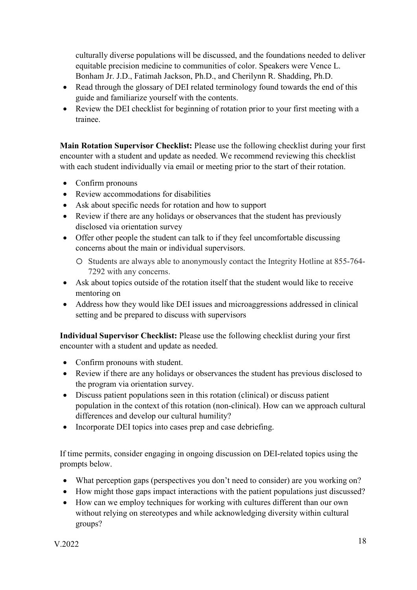culturally diverse populations will be discussed, and the foundations needed to deliver equitable precision medicine to communities of color. Speakers were Vence L. Bonham Jr. J.D., Fatimah Jackson, Ph.D., and Cherilynn R. Shadding, Ph.D.

- Read through the glossary of DEI related terminology found towards the end of this guide and familiarize yourself with the contents.
- Review the DEI checklist for beginning of rotation prior to your first meeting with a trainee.

**Main Rotation Supervisor Checklist:** Please use the following checklist during your first encounter with a student and update as needed. We recommend reviewing this checklist with each student individually via email or meeting prior to the start of their rotation.

- Confirm pronouns
- Review accommodations for disabilities
- Ask about specific needs for rotation and how to support
- Review if there are any holidays or observances that the student has previously disclosed via orientation survey
- Offer other people the student can talk to if they feel uncomfortable discussing concerns about the main or individual supervisors.
	- o Students are always able to anonymously contact the Integrity Hotline at 855-764- 7292 with any concerns.
- Ask about topics outside of the rotation itself that the student would like to receive mentoring on
- Address how they would like DEI issues and microaggressions addressed in clinical setting and be prepared to discuss with supervisors

**Individual Supervisor Checklist:** Please use the following checklist during your first encounter with a student and update as needed.

- Confirm pronouns with student.
- Review if there are any holidays or observances the student has previous disclosed to the program via orientation survey.
- Discuss patient populations seen in this rotation (clinical) or discuss patient population in the context of this rotation (non-clinical). How can we approach cultural differences and develop our cultural humility?
- Incorporate DEI topics into cases prep and case debriefing.

If time permits, consider engaging in ongoing discussion on DEI-related topics using the prompts below.

- What perception gaps (perspectives you don't need to consider) are you working on?
- How might those gaps impact interactions with the patient populations just discussed?
- How can we employ techniques for working with cultures different than our own without relying on stereotypes and while acknowledging diversity within cultural groups?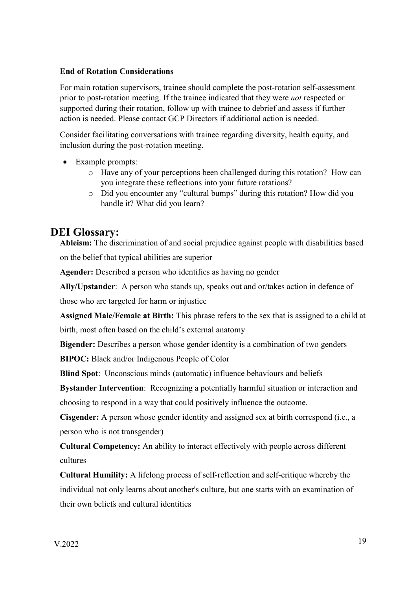#### **End of Rotation Considerations**

For main rotation supervisors, trainee should complete the post-rotation self-assessment prior to post-rotation meeting. If the trainee indicated that they were *not* respected or supported during their rotation, follow up with trainee to debrief and assess if further action is needed. Please contact GCP Directors if additional action is needed.

Consider facilitating conversations with trainee regarding diversity, health equity, and inclusion during the post-rotation meeting.

- Example prompts:
	- o Have any of your perceptions been challenged during this rotation? How can you integrate these reflections into your future rotations?
	- o Did you encounter any "cultural bumps" during this rotation? How did you handle it? What did you learn?

### <span id="page-18-0"></span>**DEI Glossary:**

**Ableism:** The discrimination of and social prejudice against people with disabilities based on the belief that typical abilities are superior

**Agender:** Described a person who identifies as having no gender

**Ally/Upstander**: A person who stands up, speaks out and or/takes action in defence of those who are targeted for harm or injustice

**Assigned Male/Female at Birth:** This phrase refers to the sex that is assigned to a child at birth, most often based on the child's external anatomy

**Bigender:** Describes a person whose gender identity is a combination of two genders

**BIPOC:** Black and/or Indigenous People of Color

**Blind Spot**: Unconscious minds (automatic) influence behaviours and beliefs

**Bystander Intervention**: Recognizing a potentially harmful situation or interaction and choosing to respond in a way that could positively influence the outcome.

**Cisgender:** A person whose gender identity and assigned sex at birth correspond (i.e., a person who is not transgender)

**Cultural Competency:** An ability to interact effectively with people across different cultures

**Cultural Humility:** A lifelong process of self-reflection and self-critique whereby the individual not only learns about another's culture, but one starts with an examination of their own beliefs and cultural identities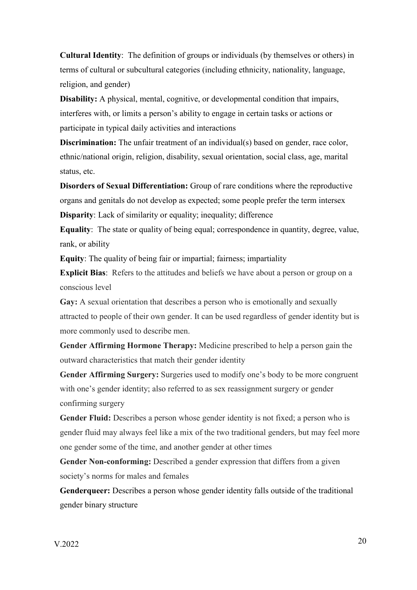**Cultural Identity**: The definition of groups or individuals (by themselves or others) in terms of cultural or subcultural categories (including ethnicity, nationality, language, religion, and gender)

**Disability:** A physical, mental, cognitive, or developmental condition that impairs, interferes with, or limits a person's ability to engage in certain tasks or actions or participate in typical daily activities and interactions

**Discrimination:** The unfair treatment of an individual(s) based on gender, race color, ethnic/national origin, religion, disability, sexual orientation, social class, age, marital status, etc.

**Disorders of Sexual Differentiation:** Group of rare conditions where the reproductive organs and genitals do not develop as expected; some people prefer the term intersex **Disparity**: Lack of similarity or equality; inequality; difference

**Equality**: The state or quality of being equal; correspondence in quantity, degree, value, rank, or ability

**Equity**: The quality of being fair or impartial; fairness; impartiality

**Explicit Bias**: Refers to the attitudes and beliefs we have about a person or group on a conscious level

Gay: A sexual orientation that describes a person who is emotionally and sexually attracted to people of their own gender. It can be used regardless of gender identity but is more commonly used to describe men.

**Gender Affirming Hormone Therapy:** Medicine prescribed to help a person gain the outward characteristics that match their gender identity

**Gender Affirming Surgery:** Surgeries used to modify one's body to be more congruent with one's gender identity; also referred to as sex reassignment surgery or gender confirming surgery

**Gender Fluid:** Describes a person whose gender identity is not fixed; a person who is gender fluid may always feel like a mix of the two traditional genders, but may feel more one gender some of the time, and another gender at other times

**Gender Non-conforming:** Described a gender expression that differs from a given society's norms for males and females

**Genderqueer:** Describes a person whose gender identity falls outside of the traditional gender binary structure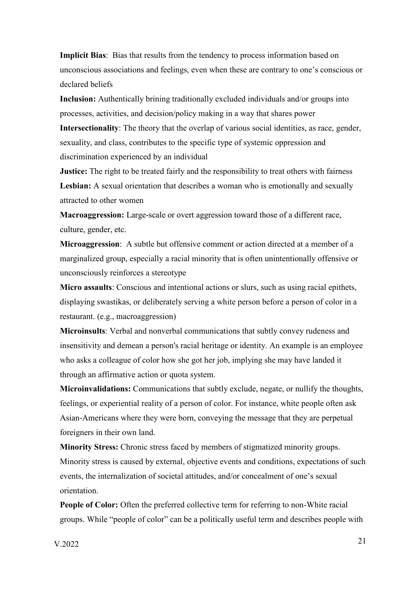**Implicit Bias**: Bias that results from the tendency to process information based on unconscious associations and feelings, even when these are contrary to one's conscious or declared beliefs

**Inclusion:** Authentically brining traditionally excluded individuals and/or groups into processes, activities, and decision/policy making in a way that shares power

**Intersectionality**: The theory that the overlap of various social identities, as race, gender, sexuality, and class, contributes to the specific type of systemic oppression and discrimination experienced by an individual

**Justice:** The right to be treated fairly and the responsibility to treat others with fairness **Lesbian:** A sexual orientation that describes a woman who is emotionally and sexually attracted to other women

**Macroaggression:** Large-scale or overt aggression toward those of a different race, culture, gender, etc.

**Microaggression**: A subtle but offensive comment or action directed at a member of a marginalized group, especially a racial minority that is often unintentionally offensive or unconsciously reinforces a stereotype

**Micro assaults**: Conscious and intentional actions or slurs, such as using racial epithets, displaying swastikas, or deliberately serving a white person before a person of color in a restaurant. (e.g., macroaggression)

**Microinsults**: Verbal and nonverbal communications that subtly convey rudeness and insensitivity and demean a person's racial heritage or identity. An example is an employee who asks a colleague of color how she got her job, implying she may have landed it through an affirmative action or quota system.

**Microinvalidations:** Communications that subtly exclude, negate, or nullify the thoughts, feelings, or experiential reality of a person of color. For instance, white people often ask Asian-Americans where they were born, conveying the message that they are perpetual foreigners in their own land.

**Minority Stress:** Chronic stress faced by members of stigmatized minority groups. Minority stress is caused by external, objective events and conditions, expectations of such events, the internalization of societal attitudes, and/or concealment of one's sexual orientation.

**People of Color:** Often the preferred collective term for referring to non-White racial groups. While "people of color" can be a politically useful term and describes people with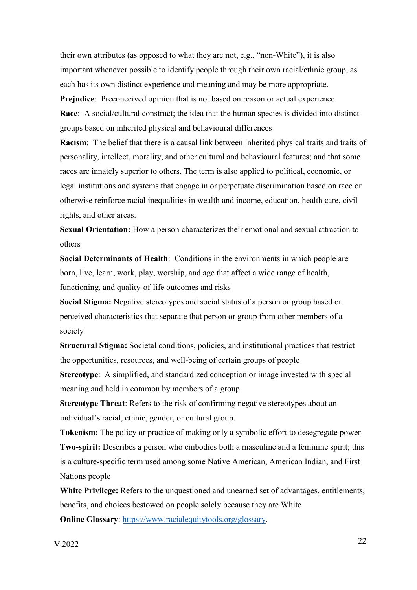their own attributes (as opposed to what they are not, e.g., "non-White"), it is also important whenever possible to identify people through their own racial/ethnic group, as each has its own distinct experience and meaning and may be more appropriate.

**Prejudice**: Preconceived opinion that is not based on reason or actual experience **Race**: A social/cultural construct; the idea that the human species is divided into distinct groups based on inherited physical and behavioural differences

**Racism**: The belief that there is a causal link between inherited physical traits and traits of personality, intellect, morality, and other cultural and behavioural features; and that some races are innately superior to others. The term is also applied to political, economic, or legal institutions and systems that engage in or perpetuate discrimination based on race or otherwise reinforce racial inequalities in wealth and income, education, health care, civil rights, and other areas.

**Sexual Orientation:** How a person characterizes their emotional and sexual attraction to others

**Social Determinants of Health**: Conditions in the environments in which people are born, live, learn, work, play, worship, and age that affect a wide range of health, functioning, and quality-of-life outcomes and risks

**Social Stigma:** Negative stereotypes and social status of a person or group based on perceived characteristics that separate that person or group from other members of a society

**Structural Stigma:** Societal conditions, policies, and institutional practices that restrict the opportunities, resources, and well-being of certain groups of people

**Stereotype**: A simplified, and standardized conception or image invested with special meaning and held in common by members of a group

**Stereotype Threat:** Refers to the risk of confirming negative stereotypes about an individual's racial, ethnic, gender, or cultural group.

**Tokenism:** The policy or practice of making only a symbolic effort to desegregate power **Two-spirit:** Describes a person who embodies both a masculine and a feminine spirit; this is a culture-specific term used among some Native American, American Indian, and First Nations people

**White Privilege:** Refers to the unquestioned and unearned set of advantages, entitlements, benefits, and choices bestowed on people solely because they are White

**Online Glossary**: [https://www.racialequitytools.org/glossary.](https://www.racialequitytools.org/glossary)